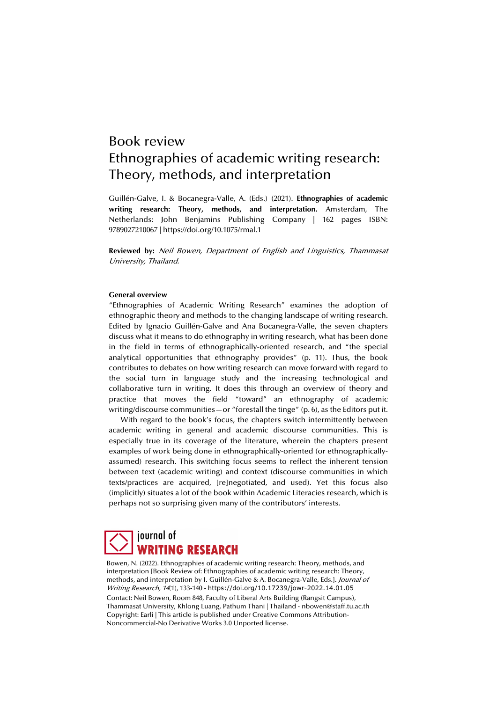# Book review Ethnographies of academic writing research: Theory, methods, and interpretation

Guillén-Galve, I. & Bocanegra-Valle, A. (Eds.) (2021). **Ethnographies of academic writing research: Theory, methods, and interpretation.** Amsterdam, The Netherlands: John Benjamins Publishing Company | 162 pages ISBN: 9789027210067 | https://doi.org/10.1075/rmal.1

**Reviewed by:** Neil Bowen, Department of English and Linguistics, Thammasat University, Thailand.

# **General overview**

"Ethnographies of Academic Writing Research" examines the adoption of ethnographic theory and methods to the changing landscape of writing research. Edited by Ignacio Guillén-Galve and Ana Bocanegra-Valle, the seven chapters discuss what it means to do ethnography in writing research, what has been done in the field in terms of ethnographically-oriented research, and "the special analytical opportunities that ethnography provides" (p. 11). Thus, the book contributes to debates on how writing research can move forward with regard to the social turn in language study and the increasing technological and collaborative turn in writing. It does this through an overview of theory and practice that moves the field "toward" an ethnography of academic writing/discourse communities—or "forestall the tinge" (p. 6), as the Editors put it.

With regard to the book's focus, the chapters switch intermittently between academic writing in general and academic discourse communities. This is especially true in its coverage of the literature, wherein the chapters present examples of work being done in ethnographically-oriented (or ethnographicallyassumed) research. This switching focus seems to reflect the inherent tension between text (academic writing) and context (discourse communities in which texts/practices are acquired, [re]negotiated, and used). Yet this focus also (implicitly) situates a lot of the book within Academic Literacies research, which is perhaps not so surprising given many of the contributors' interests.

# journal of **WRITING RESEARCH**

Bowen, N. (2022). Ethnographies of academic writing research: Theory, methods, and interpretation [Book Review of: Ethnographies of academic writing research: Theory, methods, and interpretation by I. Guillén-Galve & A. Bocanegra-Valle, Eds.]. Journal of Writing Research, 14(1), 133-140 - https://doi.org/10.17239/jowr-2022.14.01.05

Contact: Neil Bowen, Room 848, Faculty of Liberal Arts Building (Rangsit Campus), Thammasat University, Khlong Luang, Pathum Thani | Thailand - nbowen@staff.tu.ac.th Copyright: Earli | This article is published under Creative Commons Attribution-Noncommercial-No Derivative Works 3.0 Unported license.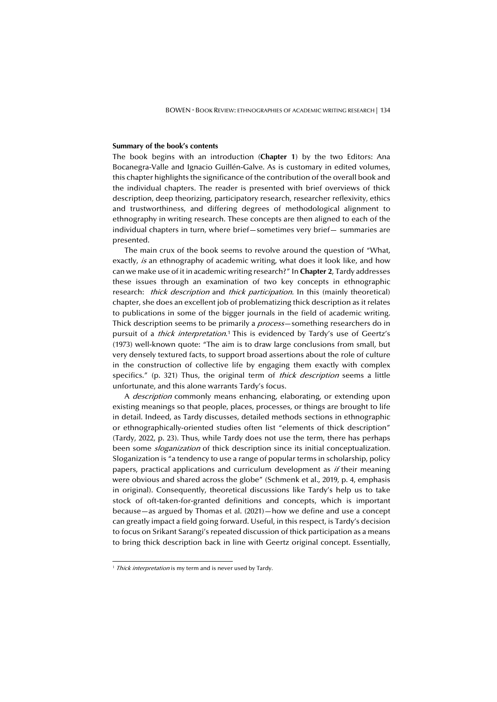#### **Summary of the book's contents**

The book begins with an introduction (**Chapter 1**) by the two Editors: Ana Bocanegra-Valle and Ignacio Guillén-Galve. As is customary in edited volumes, this chapter highlights the significance of the contribution of the overall book and the individual chapters. The reader is presented with brief overviews of thick description, deep theorizing, participatory research, researcher reflexivity, ethics and trustworthiness, and differing degrees of methodological alignment to ethnography in writing research. These concepts are then aligned to each of the individual chapters in turn, where brief—sometimes very brief— summaries are presented.

The main crux of the book seems to revolve around the question of "What, exactly, is an ethnography of academic writing, what does it look like, and how can we make use of it in academic writing research?" In **Chapter 2**, Tardy addresses these issues through an examination of two key concepts in ethnographic research: *thick description* and *thick participation*. In this (mainly theoretical) chapter, she does an excellent job of problematizing thick description as it relates to publications in some of the bigger journals in the field of academic writing. Thick description seems to be primarily a *process*—something researchers do in pursuit of a *thick interpretation*.<sup>1</sup> This is evidenced by Tardy's use of Geertz's (1973) well-known quote: "The aim is to draw large conclusions from small, but very densely textured facts, to support broad assertions about the role of culture in the construction of collective life by engaging them exactly with complex specifics." (p. 321) Thus, the original term of *thick description* seems a little unfortunate, and this alone warrants Tardy's focus.

A *description* commonly means enhancing, elaborating, or extending upon existing meanings so that people, places, processes, or things are brought to life in detail. Indeed, as Tardy discusses, detailed methods sections in ethnographic or ethnographically-oriented studies often list "elements of thick description" (Tardy, 2022, p. 23). Thus, while Tardy does not use the term, there has perhaps been some *sloganization* of thick description since its initial conceptualization. Sloganization is "a tendency to use a range of popular terms in scholarship, policy papers, practical applications and curriculum development as  $if$  their meaning were obvious and shared across the globe" (Schmenk et al., 2019, p. 4, emphasis in original). Consequently, theoretical discussions like Tardy's help us to take stock of oft-taken-for-granted definitions and concepts, which is important because—as argued by Thomas et al. (2021)—how we define and use a concept can greatly impact a field going forward. Useful, in this respect, is Tardy's decision to focus on Srikant Sarangi's repeated discussion of thick participation as a means to bring thick description back in line with Geertz original concept. Essentially,

<sup>&</sup>lt;sup>1</sup> Thick interpretation is my term and is never used by Tardy.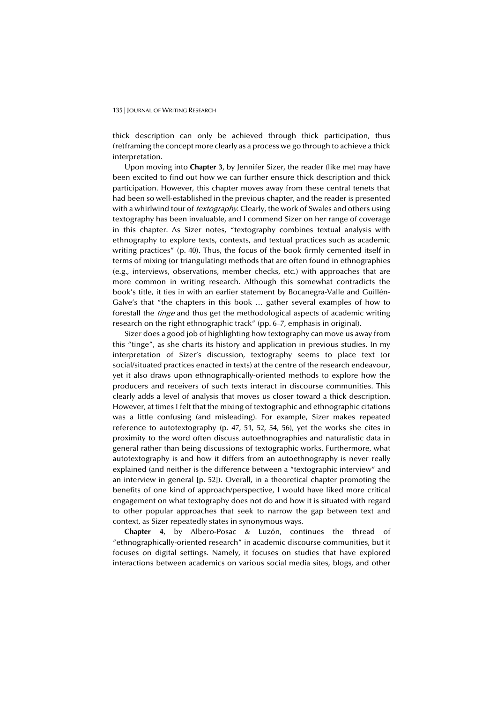#### 135 | JOURNAL OF WRITING RESEARCH

thick description can only be achieved through thick participation, thus (re)framing the concept more clearly as a process we go through to achieve a thick interpretation.

Upon moving into **Chapter 3**, by Jennifer Sizer, the reader (like me) may have been excited to find out how we can further ensure thick description and thick participation. However, this chapter moves away from these central tenets that had been so well-established in the previous chapter, and the reader is presented with a whirlwind tour of *textography*. Clearly, the work of Swales and others using textography has been invaluable, and I commend Sizer on her range of coverage in this chapter. As Sizer notes, "textography combines textual analysis with ethnography to explore texts, contexts, and textual practices such as academic writing practices" (p. 40). Thus, the focus of the book firmly cemented itself in terms of mixing (or triangulating) methods that are often found in ethnographies (e.g., interviews, observations, member checks, etc.) with approaches that are more common in writing research. Although this somewhat contradicts the book's title, it ties in with an earlier statement by Bocanegra-Valle and Guillén-Galve's that "the chapters in this book … gather several examples of how to forestall the *tinge* and thus get the methodological aspects of academic writing research on the right ethnographic track" (pp. 6–7, emphasis in original).

Sizer does a good job of highlighting how textography can move us away from this "tinge", as she charts its history and application in previous studies. In my interpretation of Sizer's discussion, textography seems to place text (or social/situated practices enacted in texts) at the centre of the research endeavour, yet it also draws upon ethnographically-oriented methods to explore how the producers and receivers of such texts interact in discourse communities. This clearly adds a level of analysis that moves us closer toward a thick description. However, at times I felt that the mixing of textographic and ethnographic citations was a little confusing (and misleading). For example, Sizer makes repeated reference to autotextography (p. 47, 51, 52, 54, 56), yet the works she cites in proximity to the word often discuss autoethnographies and naturalistic data in general rather than being discussions of textographic works. Furthermore, what autotextography is and how it differs from an autoethnography is never really explained (and neither is the difference between a "textographic interview" and an interview in general [p. 52]). Overall, in a theoretical chapter promoting the benefits of one kind of approach/perspective, I would have liked more critical engagement on what textography does not do and how it is situated with regard to other popular approaches that seek to narrow the gap between text and context, as Sizer repeatedly states in synonymous ways.

**Chapter 4**, by Albero-Posac & Luzón, continues the thread of "ethnographically-oriented research" in academic discourse communities, but it focuses on digital settings. Namely, it focuses on studies that have explored interactions between academics on various social media sites, blogs, and other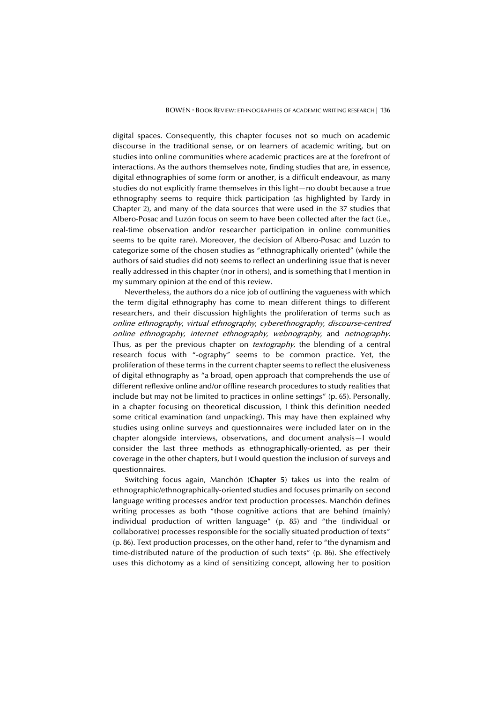digital spaces. Consequently, this chapter focuses not so much on academic discourse in the traditional sense, or on learners of academic writing, but on studies into online communities where academic practices are at the forefront of interactions. As the authors themselves note, finding studies that are, in essence, digital ethnographies of some form or another, is a difficult endeavour, as many studies do not explicitly frame themselves in this light—no doubt because a true ethnography seems to require thick participation (as highlighted by Tardy in Chapter 2), and many of the data sources that were used in the 37 studies that Albero-Posac and Luzón focus on seem to have been collected after the fact (i.e., real-time observation and/or researcher participation in online communities seems to be quite rare). Moreover, the decision of Albero-Posac and Luzón to categorize some of the chosen studies as "ethnographically oriented" (while the authors of said studies did not) seems to reflect an underlining issue that is never really addressed in this chapter (nor in others), and is something that I mention in my summary opinion at the end of this review.

Nevertheless, the authors do a nice job of outlining the vagueness with which the term digital ethnography has come to mean different things to different researchers, and their discussion highlights the proliferation of terms such as online ethnography, virtual ethnography, cyberethnography, discourse-centred online ethnography, internet ethnography, webnography, and netnography. Thus, as per the previous chapter on *textography*, the blending of a central research focus with "-ography" seems to be common practice. Yet, the proliferation of these terms in the current chapter seems to reflect the elusiveness of digital ethnography as "a broad, open approach that comprehends the use of different reflexive online and/or offline research procedures to study realities that include but may not be limited to practices in online settings" (p. 65). Personally, in a chapter focusing on theoretical discussion, I think this definition needed some critical examination (and unpacking). This may have then explained why studies using online surveys and questionnaires were included later on in the chapter alongside interviews, observations, and document analysis—I would consider the last three methods as ethnographically-oriented, as per their coverage in the other chapters, but I would question the inclusion of surveys and questionnaires.

Switching focus again, Manchón (**Chapter 5**) takes us into the realm of ethnographic/ethnographically-oriented studies and focuses primarily on second language writing processes and/or text production processes. Manchón defines writing processes as both "those cognitive actions that are behind (mainly) individual production of written language" (p. 85) and "the (individual or collaborative) processes responsible for the socially situated production of texts" (p. 86). Text production processes, on the other hand, refer to "the dynamism and time-distributed nature of the production of such texts" (p. 86). She effectively uses this dichotomy as a kind of sensitizing concept, allowing her to position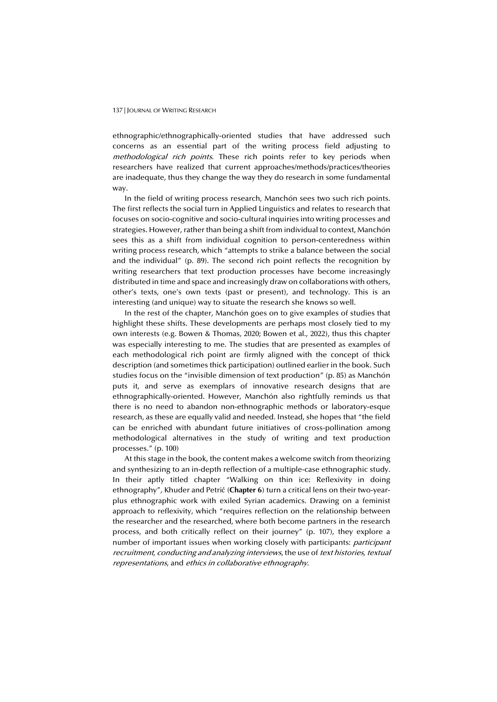#### 137 | JOURNAL OF WRITING RESEARCH

ethnographic/ethnographically-oriented studies that have addressed such concerns as an essential part of the writing process field adjusting to methodological rich points. These rich points refer to key periods when researchers have realized that current approaches/methods/practices/theories are inadequate, thus they change the way they do research in some fundamental way.

In the field of writing process research, Manchón sees two such rich points. The first reflects the social turn in Applied Linguistics and relates to research that focuses on socio-cognitive and socio-cultural inquiries into writing processes and strategies. However, rather than being a shift from individual to context, Manchón sees this as a shift from individual cognition to person-centeredness within writing process research, which "attempts to strike a balance between the social and the individual" (p. 89). The second rich point reflects the recognition by writing researchers that text production processes have become increasingly distributed in time and space and increasingly draw on collaborations with others, other's texts, one's own texts (past or present), and technology. This is an interesting (and unique) way to situate the research she knows so well.

In the rest of the chapter, Manchón goes on to give examples of studies that highlight these shifts. These developments are perhaps most closely tied to my own interests (e.g. Bowen & Thomas, 2020; Bowen et al., 2022), thus this chapter was especially interesting to me. The studies that are presented as examples of each methodological rich point are firmly aligned with the concept of thick description (and sometimes thick participation) outlined earlier in the book. Such studies focus on the "invisible dimension of text production" (p. 85) as Manchón puts it, and serve as exemplars of innovative research designs that are ethnographically-oriented. However, Manchón also rightfully reminds us that there is no need to abandon non-ethnographic methods or laboratory-esque research, as these are equally valid and needed. Instead, she hopes that "the field can be enriched with abundant future initiatives of cross-pollination among methodological alternatives in the study of writing and text production processes." (p. 100)

At this stage in the book, the content makes a welcome switch from theorizing and synthesizing to an in-depth reflection of a multiple-case ethnographic study. In their aptly titled chapter "Walking on thin ice: Reflexivity in doing ethnography", Khuder and Petrić (**Chapter 6**) turn a critical lens on their two-yearplus ethnographic work with exiled Syrian academics. Drawing on a feminist approach to reflexivity, which "requires reflection on the relationship between the researcher and the researched, where both become partners in the research process, and both critically reflect on their journey" (p. 107), they explore a number of important issues when working closely with participants: participant recruitment, conducting and analyzing interviews, the use of text histories, textual representations, and ethics in collaborative ethnography.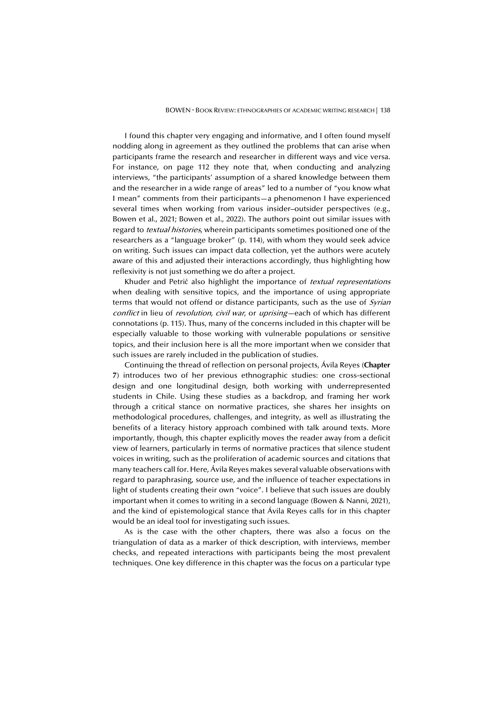I found this chapter very engaging and informative, and I often found myself nodding along in agreement as they outlined the problems that can arise when participants frame the research and researcher in different ways and vice versa. For instance, on page 112 they note that, when conducting and analyzing interviews, "the participants' assumption of a shared knowledge between them and the researcher in a wide range of areas" led to a number of "you know what I mean" comments from their participants—a phenomenon I have experienced several times when working from various insider–outsider perspectives (e.g., Bowen et al., 2021; Bowen et al., 2022). The authors point out similar issues with regard to *textual histories*, wherein participants sometimes positioned one of the researchers as a "language broker" (p. 114), with whom they would seek advice on writing. Such issues can impact data collection, yet the authors were acutely aware of this and adjusted their interactions accordingly, thus highlighting how reflexivity is not just something we do after a project.

Khuder and Petrić also highlight the importance of *textual representations* when dealing with sensitive topics, and the importance of using appropriate terms that would not offend or distance participants, such as the use of Syrian conflict in lieu of revolution, civil war, or uprising-each of which has different connotations (p. 115). Thus, many of the concerns included in this chapter will be especially valuable to those working with vulnerable populations or sensitive topics, and their inclusion here is all the more important when we consider that such issues are rarely included in the publication of studies.

Continuing the thread of reflection on personal projects, Ávila Reyes (**Chapter 7**) introduces two of her previous ethnographic studies: one cross-sectional design and one longitudinal design, both working with underrepresented students in Chile. Using these studies as a backdrop, and framing her work through a critical stance on normative practices, she shares her insights on methodological procedures, challenges, and integrity, as well as illustrating the benefits of a literacy history approach combined with talk around texts. More importantly, though, this chapter explicitly moves the reader away from a deficit view of learners, particularly in terms of normative practices that silence student voices in writing, such as the proliferation of academic sources and citations that many teachers call for. Here, Ávila Reyes makes several valuable observations with regard to paraphrasing, source use, and the influence of teacher expectations in light of students creating their own "voice". I believe that such issues are doubly important when it comes to writing in a second language (Bowen & Nanni, 2021), and the kind of epistemological stance that Ávila Reyes calls for in this chapter would be an ideal tool for investigating such issues.

As is the case with the other chapters, there was also a focus on the triangulation of data as a marker of thick description, with interviews, member checks, and repeated interactions with participants being the most prevalent techniques. One key difference in this chapter was the focus on a particular type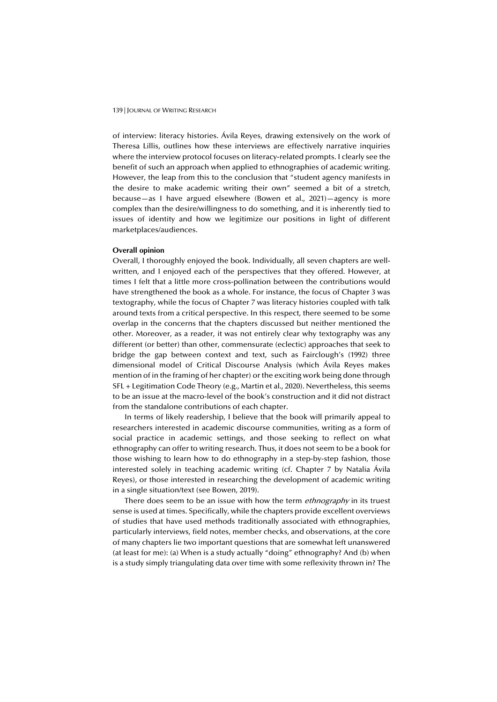#### 139 | JOURNAL OF WRITING RESEARCH

of interview: literacy histories. Ávila Reyes, drawing extensively on the work of Theresa Lillis, outlines how these interviews are effectively narrative inquiries where the interview protocol focuses on literacy-related prompts. I clearly see the benefit of such an approach when applied to ethnographies of academic writing. However, the leap from this to the conclusion that "student agency manifests in the desire to make academic writing their own" seemed a bit of a stretch, because—as I have argued elsewhere (Bowen et al., 2021)—agency is more complex than the desire/willingness to do something, and it is inherently tied to issues of identity and how we legitimize our positions in light of different marketplaces/audiences.

# **Overall opinion**

Overall, I thoroughly enjoyed the book. Individually, all seven chapters are wellwritten, and I enjoyed each of the perspectives that they offered. However, at times I felt that a little more cross-pollination between the contributions would have strengthened the book as a whole. For instance, the focus of Chapter 3 was textography, while the focus of Chapter 7 was literacy histories coupled with talk around texts from a critical perspective. In this respect, there seemed to be some overlap in the concerns that the chapters discussed but neither mentioned the other. Moreover, as a reader, it was not entirely clear why textography was any different (or better) than other, commensurate (eclectic) approaches that seek to bridge the gap between context and text, such as Fairclough's (1992) three dimensional model of Critical Discourse Analysis (which Ávila Reyes makes mention of in the framing of her chapter) or the exciting work being done through SFL + Legitimation Code Theory (e.g., Martin et al., 2020). Nevertheless, this seems to be an issue at the macro-level of the book's construction and it did not distract from the standalone contributions of each chapter.

In terms of likely readership, I believe that the book will primarily appeal to researchers interested in academic discourse communities, writing as a form of social practice in academic settings, and those seeking to reflect on what ethnography can offer to writing research. Thus, it does not seem to be a book for those wishing to learn how to do ethnography in a step-by-step fashion, those interested solely in teaching academic writing (cf. Chapter 7 by Natalia Ávila Reyes), or those interested in researching the development of academic writing in a single situation/text (see Bowen, 2019).

There does seem to be an issue with how the term *ethnography* in its truest sense is used at times. Specifically, while the chapters provide excellent overviews of studies that have used methods traditionally associated with ethnographies, particularly interviews, field notes, member checks, and observations, at the core of many chapters lie two important questions that are somewhat left unanswered (at least for me): (a) When is a study actually "doing" ethnography? And (b) when is a study simply triangulating data over time with some reflexivity thrown in? The